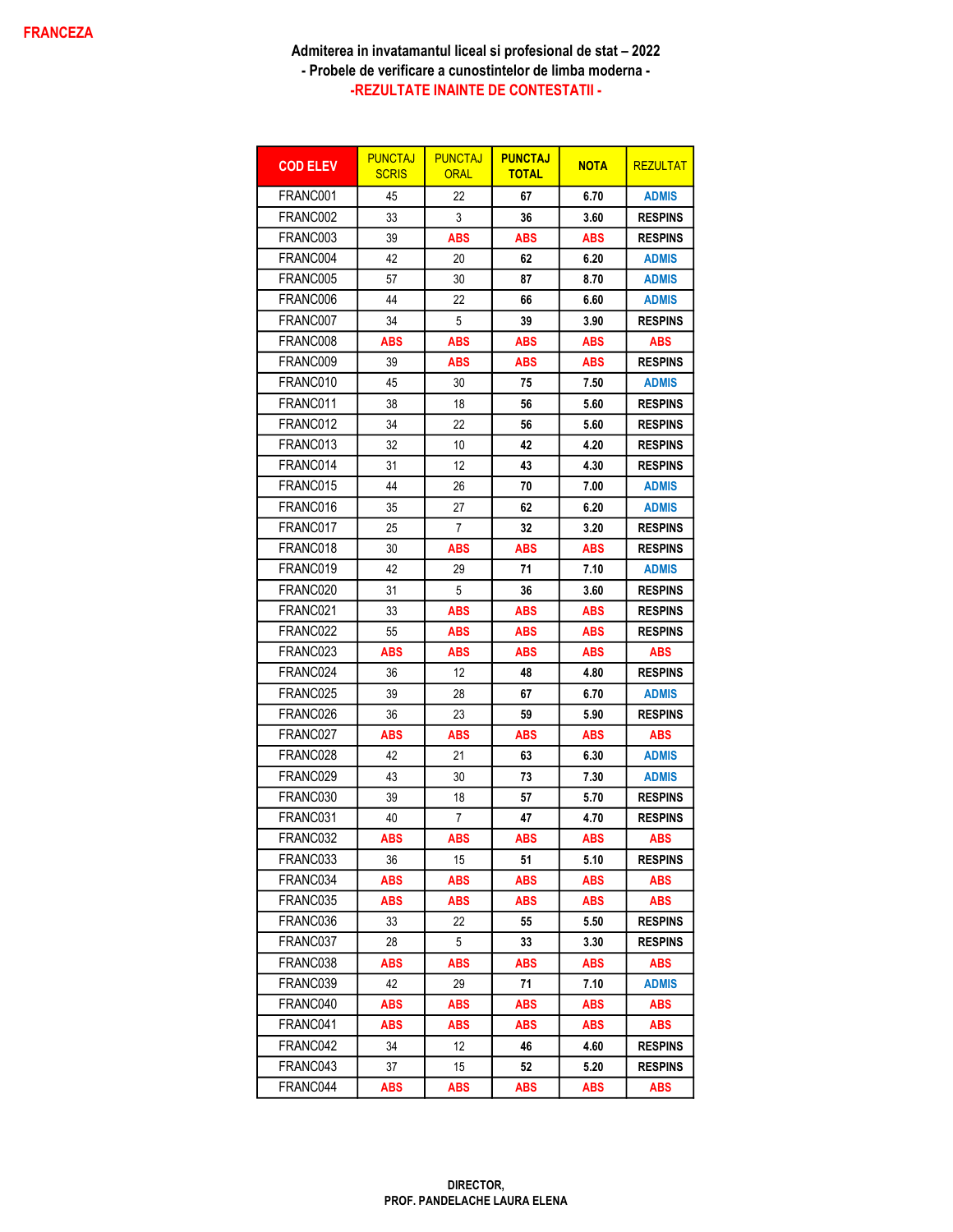| <b>COD ELEV</b> | <b>PUNCTAJ</b><br><b>SCRIS</b> | <b>PUNCTAJ</b><br><b>ORAL</b> | <b>PUNCTAJ</b><br><b>TOTAL</b> | <b>NOTA</b> | <b>REZULTAT</b> |
|-----------------|--------------------------------|-------------------------------|--------------------------------|-------------|-----------------|
| FRANC001        | 45                             | 22                            | 67                             | 6.70        | <b>ADMIS</b>    |
| FRANC002        | 33                             | 3                             | 36                             | 3.60        | <b>RESPINS</b>  |
| FRANC003        | 39                             | ABS                           | <b>ABS</b>                     | ABS         | <b>RESPINS</b>  |
| FRANC004        | 42                             | 20                            | 62                             | 6.20        | <b>ADMIS</b>    |
| FRANC005        | 57                             | 30                            | 87                             | 8.70        | <b>ADMIS</b>    |
| FRANC006        | 44                             | 22                            | 66                             | 6.60        | <b>ADMIS</b>    |
| FRANC007        | 34                             | 5                             | 39                             | 3.90        | <b>RESPINS</b>  |
| FRANC008        | ABS                            | ABS                           | ABS                            | <b>ABS</b>  | <b>ABS</b>      |
| FRANC009        | 39                             | ABS                           | <b>ABS</b>                     | <b>ABS</b>  | <b>RESPINS</b>  |
| FRANC010        | 45                             | 30                            | 75                             | 7.50        | <b>ADMIS</b>    |
| FRANC011        | 38                             | 18                            | 56                             | 5.60        | <b>RESPINS</b>  |
| FRANC012        | 34                             | 22                            | 56                             | 5.60        | <b>RESPINS</b>  |
| FRANC013        | 32                             | 10                            | 42                             | 4.20        | <b>RESPINS</b>  |
| FRANC014        | 31                             | 12                            | 43                             | 4.30        | <b>RESPINS</b>  |
| FRANC015        | 44                             | 26                            | 70                             | 7.00        | <b>ADMIS</b>    |
| FRANC016        | 35                             | 27                            | 62                             | 6.20        | <b>ADMIS</b>    |
| FRANC017        | 25                             | 7                             | 32                             | 3.20        | <b>RESPINS</b>  |
| FRANC018        | 30                             | ABS                           | ABS                            | ABS         | <b>RESPINS</b>  |
| FRANC019        | 42                             | 29                            | 71                             | 7.10        | <b>ADMIS</b>    |
| FRANC020        | 31                             | 5                             | 36                             | 3.60        | <b>RESPINS</b>  |
| FRANC021        | 33                             | <b>ABS</b>                    | <b>ABS</b>                     | <b>ABS</b>  | <b>RESPINS</b>  |
| FRANC022        | 55                             | ABS                           | <b>ABS</b>                     | <b>ABS</b>  | <b>RESPINS</b>  |
| FRANC023        | ABS                            | ABS                           | <b>ABS</b>                     | <b>ABS</b>  | <b>ABS</b>      |
| FRANC024        | 36                             | 12                            | 48                             | 4.80        | <b>RESPINS</b>  |
| FRANC025        | 39                             | 28                            | 67                             | 6.70        | <b>ADMIS</b>    |
| FRANC026        | 36                             | 23                            | 59                             | 5.90        | <b>RESPINS</b>  |
| FRANC027        | <b>ABS</b>                     | ABS                           | <b>ABS</b>                     | ABS         | <b>ABS</b>      |
| FRANC028        | 42                             | 21                            | 63                             | 6.30        | <b>ADMIS</b>    |
| FRANC029        | 43                             | 30                            | 73                             | 7.30        | <b>ADMIS</b>    |
| FRANC030        | 39                             | 18                            | 57                             | 5.70        | <b>RESPINS</b>  |
| FRANC031        | 40                             | 7                             | 47                             | 4.70        | <b>RESPINS</b>  |
| FRANC032        | <b>ABS</b>                     | <b>ABS</b>                    | <b>ABS</b>                     | <b>ABS</b>  | <b>ABS</b>      |
| FRANC033        | 36                             | 15                            | 51                             | 5.10        | <b>RESPINS</b>  |
| FRANC034        | <b>ABS</b>                     | <b>ABS</b>                    | <b>ABS</b>                     | ABS         | <b>ABS</b>      |
| FRANC035        | ABS                            | ABS                           | ABS                            | ABS         | ABS             |
| FRANC036        | 33                             | 22                            | 55                             | 5.50        | <b>RESPINS</b>  |
| FRANC037        | 28                             | 5                             | 33                             | 3.30        | <b>RESPINS</b>  |
| FRANC038        | ABS                            | <b>ABS</b>                    | <b>ABS</b>                     | <b>ABS</b>  | <b>ABS</b>      |
| FRANC039        | 42                             | 29                            | 71                             | 7.10        | <b>ADMIS</b>    |
| FRANC040        | ABS                            | <b>ABS</b>                    | <b>ABS</b>                     | ABS         | <b>ABS</b>      |
| FRANC041        | ABS                            | ABS                           | ABS                            | <b>ABS</b>  | <b>ABS</b>      |
| FRANC042        | 34                             | 12                            | 46                             | 4.60        | <b>RESPINS</b>  |
| FRANC043        | 37                             | 15                            | 52                             | 5.20        | <b>RESPINS</b>  |
| FRANC044        | ABS                            | ABS                           | ABS                            | ABS         | ABS             |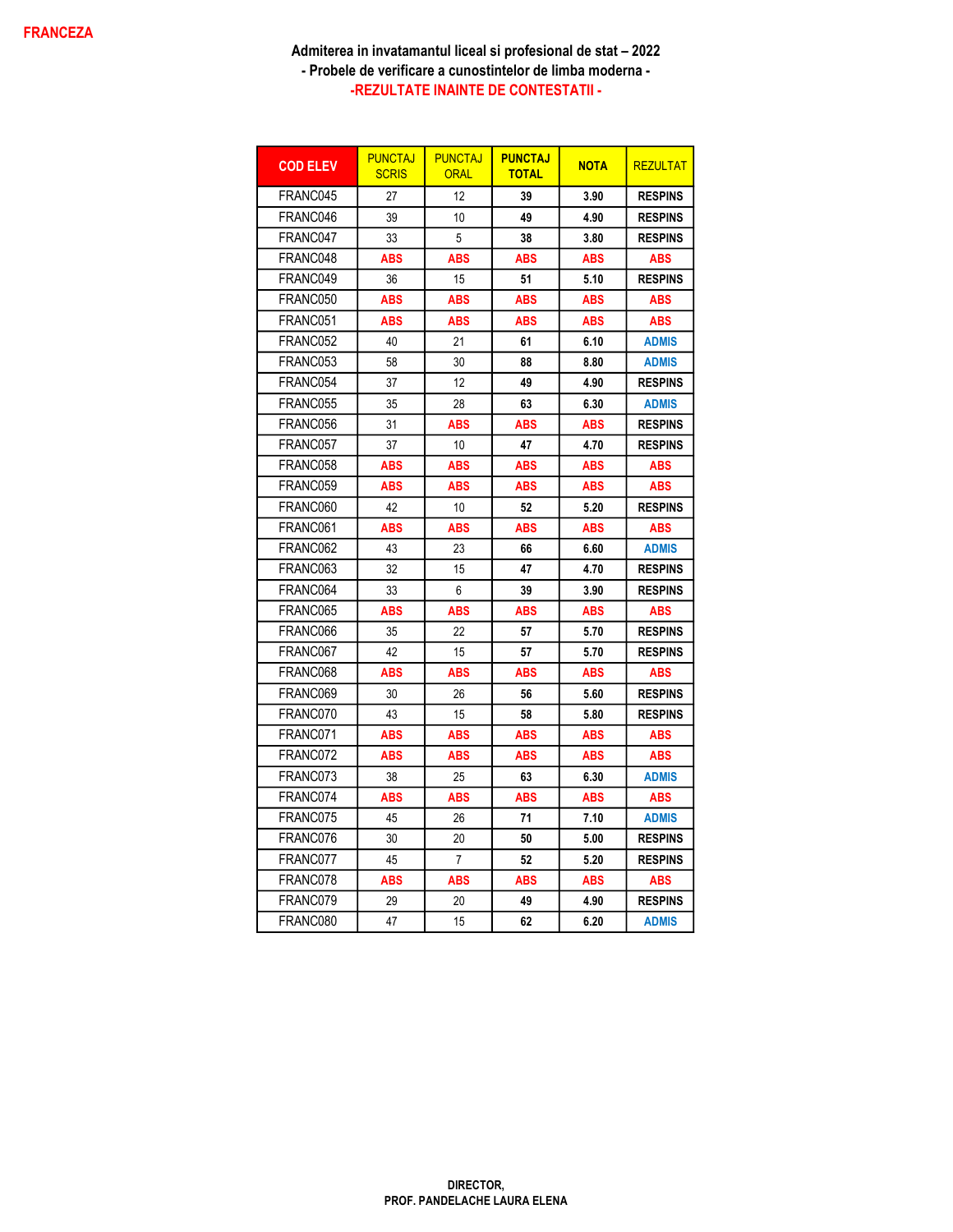| <b>COD ELEV</b> | <b>PUNCTAJ</b><br><b>SCRIS</b> | <b>PUNCTAJ</b><br><b>ORAL</b> | <b>PUNCTAJ</b><br><b>TOTAL</b> | <b>NOTA</b> | <b>REZULTAT</b> |
|-----------------|--------------------------------|-------------------------------|--------------------------------|-------------|-----------------|
| FRANC045        | 27                             | 12                            | 39                             | 3.90        | <b>RESPINS</b>  |
| FRANC046        | 39                             | 10                            | 49                             | 4.90        | <b>RESPINS</b>  |
| FRANC047        | 33                             | 5                             | 38                             | 3.80        | <b>RESPINS</b>  |
| FRANC048        | ABS                            | ABS                           | <b>ABS</b>                     | <b>ABS</b>  | <b>ABS</b>      |
| FRANC049        | 36                             | 15                            | 51                             | 5.10        | <b>RESPINS</b>  |
| FRANC050        | <b>ABS</b>                     | <b>ABS</b>                    | <b>ABS</b>                     | <b>ABS</b>  | <b>ABS</b>      |
| FRANC051        | ABS                            | ABS                           | ABS                            | ABS         | ABS             |
| FRANC052        | 40                             | 21                            | 61                             | 6.10        | <b>ADMIS</b>    |
| FRANC053        | 58                             | 30                            | 88                             | 8.80        | <b>ADMIS</b>    |
| FRANC054        | 37                             | 12                            | 49                             | 4.90        | <b>RESPINS</b>  |
| FRANC055        | 35                             | 28                            | 63                             | 6.30        | <b>ADMIS</b>    |
| FRANC056        | 31                             | ABS                           | ABS                            | ABS         | <b>RESPINS</b>  |
| FRANC057        | 37                             | 10                            | 47                             | 4.70        | <b>RESPINS</b>  |
| FRANC058        | ABS                            | <b>ABS</b>                    | <b>ABS</b>                     | <b>ABS</b>  | <b>ABS</b>      |
| FRANC059        | ABS                            | ABS                           | ABS                            | ABS         | ABS             |
| FRANC060        | 42                             | 10                            | 52                             | 5.20        | <b>RESPINS</b>  |
| FRANC061        | <b>ABS</b>                     | ABS                           | <b>ABS</b>                     | <b>ABS</b>  | <b>ABS</b>      |
| FRANC062        | 43                             | 23                            | 66                             | 6.60        | <b>ADMIS</b>    |
| FRANC063        | 32                             | 15                            | 47                             | 4.70        | <b>RESPINS</b>  |
| FRANC064        | 33                             | 6                             | 39                             | 3.90        | <b>RESPINS</b>  |
| FRANC065        | <b>ABS</b>                     | ABS                           | <b>ABS</b>                     | <b>ABS</b>  | <b>ABS</b>      |
| FRANC066        | 35                             | 22                            | 57                             | 5.70        | <b>RESPINS</b>  |
| FRANC067        | 42                             | 15                            | 57                             | 5.70        | <b>RESPINS</b>  |
| FRANC068        | ABS                            | ABS                           | ABS                            | ABS         | ABS             |
| FRANC069        | 30                             | 26                            | 56                             | 5.60        | <b>RESPINS</b>  |
| FRANC070        | 43                             | 15                            | 58                             | 5.80        | <b>RESPINS</b>  |
| FRANC071        | ABS                            | ABS                           | ABS                            | ABS         | ABS             |
| FRANC072        | ABS                            | ABS                           | ABS                            | ABS         | ABS             |
| FRANC073        | 38                             | 25                            | 63                             | 6.30        | <b>ADMIS</b>    |
| FRANC074        | <b>ABS</b>                     | <b>ABS</b>                    | <b>ABS</b>                     | <b>ABS</b>  | <b>ABS</b>      |
| FRANC075        | 45                             | 26                            | 71                             | 7.10        | <b>ADMIS</b>    |
| FRANC076        | 30                             | 20                            | 50                             | 5.00        | <b>RESPINS</b>  |
| FRANC077        | 45                             | $\overline{7}$                | 52                             | 5.20        | <b>RESPINS</b>  |
| FRANC078        | <b>ABS</b>                     | <b>ABS</b>                    | <b>ABS</b>                     | <b>ABS</b>  | <b>ABS</b>      |
| FRANC079        | 29                             | 20                            | 49                             | 4.90        | <b>RESPINS</b>  |
| FRANC080        | 47                             | 15                            | 62                             | 6.20        | <b>ADMIS</b>    |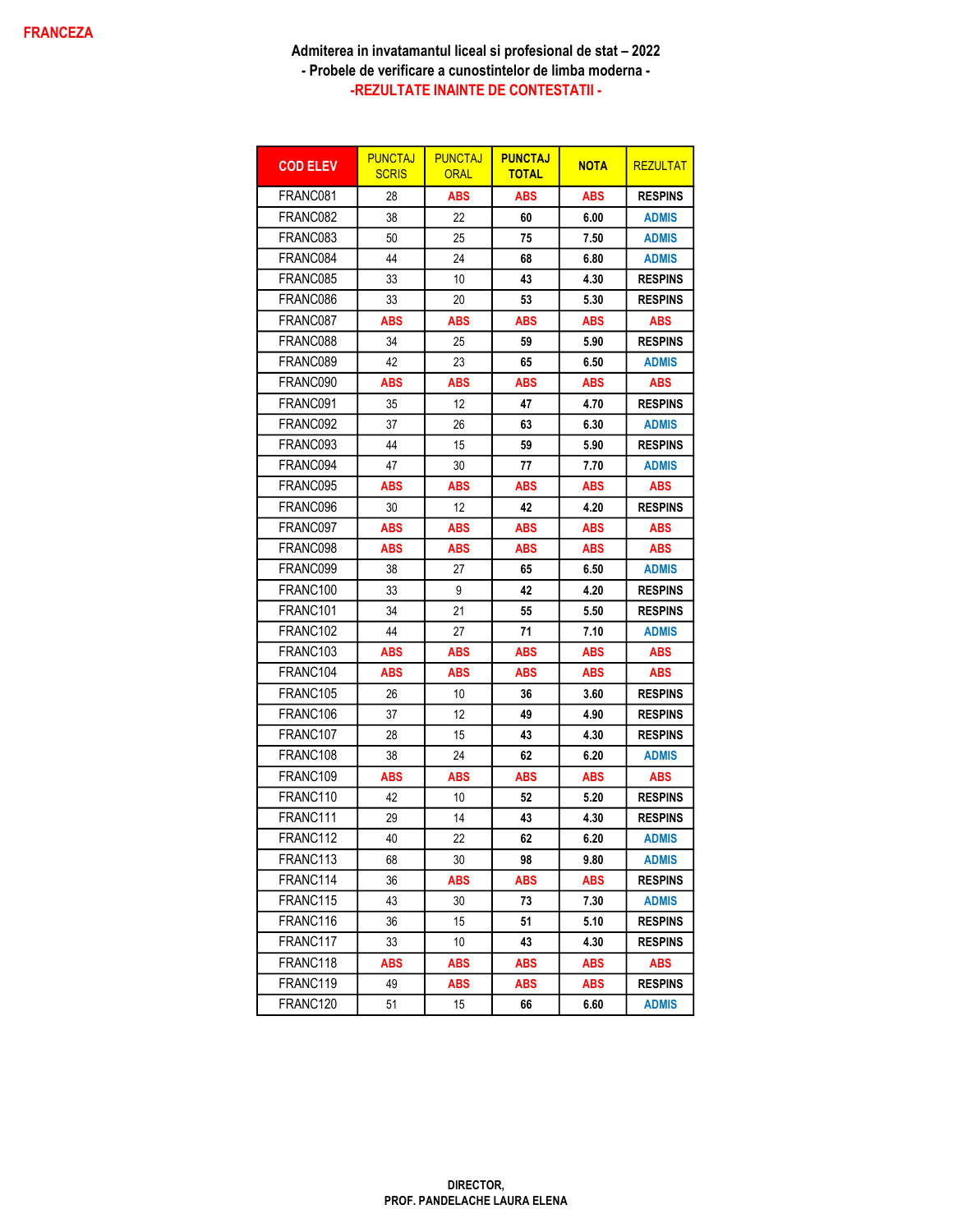| <b>COD ELEV</b>      | <b>PUNCTAJ</b><br><b>SCRIS</b> | <b>PUNCTAJ</b><br><b>ORAL</b> | <b>PUNCTAJ</b><br><b>TOTAL</b> | <b>NOTA</b> | <b>REZULTAT</b> |
|----------------------|--------------------------------|-------------------------------|--------------------------------|-------------|-----------------|
| FRANC081             | 28                             | <b>ABS</b>                    | <b>ABS</b>                     | <b>ABS</b>  | <b>RESPINS</b>  |
| FRANC082             | 38                             | 22                            | 60                             | 6.00        | <b>ADMIS</b>    |
| FRANC083             | 50                             | 25                            | 75                             | 7.50        | <b>ADMIS</b>    |
| FRANC084             | 44                             | 24                            | 68                             | 6.80        | <b>ADMIS</b>    |
| FRANC085             | 33                             | 10                            | 43                             | 4.30        | <b>RESPINS</b>  |
| FRANC086             | 33                             | 20                            | 53                             | 5.30        | <b>RESPINS</b>  |
| FRANC087             | ABS                            | ABS                           | ABS                            | ABS         | <b>ABS</b>      |
| FRANC088             | 34                             | 25                            | 59                             | 5.90        | <b>RESPINS</b>  |
| FRANC089             | 42                             | 23                            | 65                             | 6.50        | <b>ADMIS</b>    |
| FRANC090             | ABS                            | <b>ABS</b>                    | ABS                            | <b>ABS</b>  | <b>ABS</b>      |
| FRANC091             | 35                             | 12                            | 47                             | 4.70        | <b>RESPINS</b>  |
| FRANC092             | 37                             | 26                            | 63                             | 6.30        | <b>ADMIS</b>    |
| FRANC093             | 44                             | 15                            | 59                             | 5.90        | <b>RESPINS</b>  |
| FRANC094             | 47                             | 30                            | 77                             | 7.70        | <b>ADMIS</b>    |
| FRANC095             | ABS                            | ABS                           | ABS                            | <b>ABS</b>  | ABS             |
| FRANC096             | 30                             | 12                            | 42                             | 4.20        | <b>RESPINS</b>  |
| FRANC097             | <b>ABS</b>                     | <b>ABS</b>                    | <b>ABS</b>                     | <b>ABS</b>  | <b>ABS</b>      |
| FRANC098             | ABS                            | ABS                           | ABS                            | <b>ABS</b>  | <b>ABS</b>      |
| FRANC099             | 38                             | 27                            | 65                             | 6.50        | <b>ADMIS</b>    |
| FRANC <sub>100</sub> | 33                             | 9                             | 42                             | 4.20        | <b>RESPINS</b>  |
| FRANC101             | 34                             | 21                            | 55                             | 5.50        | <b>RESPINS</b>  |
| FRANC <sub>102</sub> | 44                             | 27                            | 71                             | 7.10        | <b>ADMIS</b>    |
| FRANC103             | ABS                            | <b>ABS</b>                    | ABS                            | ABS         | ABS             |
| FRANC104             | ABS                            | ABS                           | ABS                            | ABS         | ABS             |
| FRANC <sub>105</sub> | 26                             | 10                            | 36                             | 3.60        | <b>RESPINS</b>  |
| FRANC106             | 37                             | 12                            | 49                             | 4.90        | <b>RESPINS</b>  |
| FRANC <sub>107</sub> | 28                             | 15                            | 43                             | 4.30        | <b>RESPINS</b>  |
| FRANC108             | 38                             | 24                            | 62                             | 6.20        | <b>ADMIS</b>    |
| FRANC <sub>109</sub> | ABS                            | ABS                           | ABS                            | ABS         | ABS             |
| FRANC110             | 42                             | 10                            | 52                             | 5.20        | <b>RESPINS</b>  |
| FRANC111             | 29                             | 14                            | 43                             | 4.30        | <b>RESPINS</b>  |
| FRANC112             | 40                             | 22                            | 62                             | 6.20        | <b>ADMIS</b>    |
| FRANC113             | 68                             | 30                            | 98                             | 9.80        | <b>ADMIS</b>    |
| FRANC114             | 36                             | ABS                           | <b>ABS</b>                     | <b>ABS</b>  | <b>RESPINS</b>  |
| FRANC115             | 43                             | 30                            | 73                             | 7.30        | <b>ADMIS</b>    |
| FRANC116             | 36                             | 15                            | 51                             | 5.10        | <b>RESPINS</b>  |
| FRANC117             | 33                             | 10                            | 43                             | 4.30        | <b>RESPINS</b>  |
| FRANC118             | ABS                            | <b>ABS</b>                    | <b>ABS</b>                     | ABS         | <b>ABS</b>      |
| FRANC119             | 49                             | ABS                           | <b>ABS</b>                     | ABS         | <b>RESPINS</b>  |
| FRANC120             | 51                             | 15                            | 66                             | 6.60        | <b>ADMIS</b>    |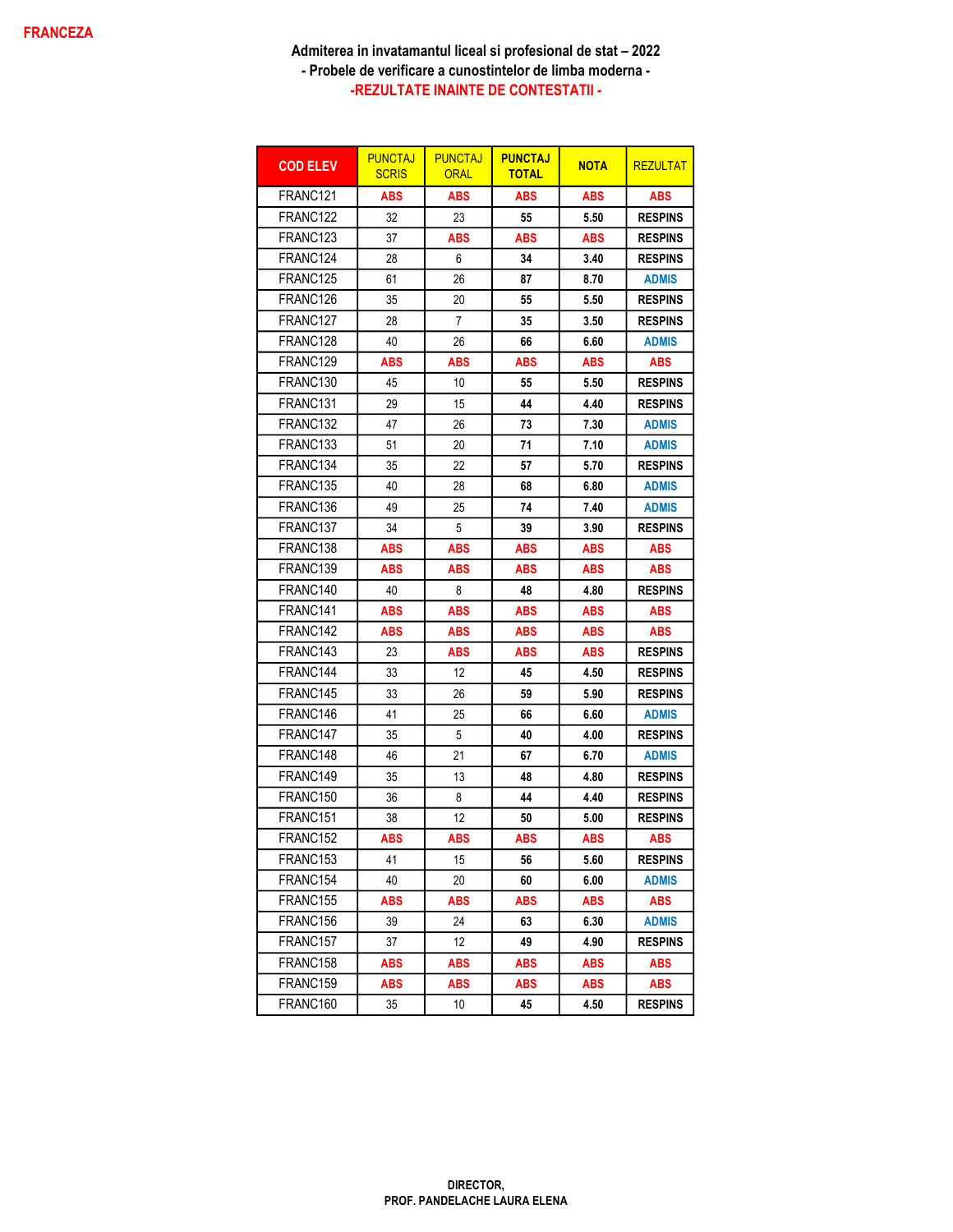| <b>COD ELEV</b>      | <b>PUNCTAJ</b><br><b>SCRIS</b> | <b>PUNCTAJ</b><br><b>ORAL</b> | <b>PUNCTAJ</b><br><b>TOTAL</b> | <b>NOTA</b> | <b>REZULTAT</b> |
|----------------------|--------------------------------|-------------------------------|--------------------------------|-------------|-----------------|
| FRANC121             | <b>ABS</b>                     | <b>ABS</b>                    | <b>ABS</b>                     | <b>ABS</b>  | <b>ABS</b>      |
| FRANC122             | 32                             | 23                            | 55                             | 5.50        | <b>RESPINS</b>  |
| FRANC <sub>123</sub> | 37                             | ABS                           | <b>ABS</b>                     | <b>ABS</b>  | <b>RESPINS</b>  |
| FRANC124             | 28                             | 6                             | 34                             | 3.40        | <b>RESPINS</b>  |
| FRANC125             | 61                             | 26                            | 87                             | 8.70        | <b>ADMIS</b>    |
| FRANC126             | 35                             | 20                            | 55                             | 5.50        | <b>RESPINS</b>  |
| FRANC127             | 28                             | 7                             | 35                             | 3.50        | <b>RESPINS</b>  |
| FRANC128             | 40                             | 26                            | 66                             | 6.60        | <b>ADMIS</b>    |
| FRANC129             | ABS                            | <b>ABS</b>                    | ABS                            | <b>ABS</b>  | <b>ABS</b>      |
| FRANC130             | 45                             | 10                            | 55                             | 5.50        | <b>RESPINS</b>  |
| FRANC <sub>131</sub> | 29                             | 15                            | 44                             | 4.40        | <b>RESPINS</b>  |
| FRANC132             | 47                             | 26                            | 73                             | 7.30        | <b>ADMIS</b>    |
| FRANC133             | 51                             | 20                            | 71                             | 7.10        | <b>ADMIS</b>    |
| FRANC134             | 35                             | 22                            | 57                             | 5.70        | <b>RESPINS</b>  |
| FRANC135             | 40                             | 28                            | 68                             | 6.80        | <b>ADMIS</b>    |
| FRANC136             | 49                             | 25                            | 74                             | 7.40        | <b>ADMIS</b>    |
| FRANC137             | 34                             | 5                             | 39                             | 3.90        | <b>RESPINS</b>  |
| FRANC138             | <b>ABS</b>                     | <b>ABS</b>                    | <b>ABS</b>                     | <b>ABS</b>  | <b>ABS</b>      |
| FRANC139             | ABS                            | ABS                           | <b>ABS</b>                     | <b>ABS</b>  | <b>ABS</b>      |
| FRANC140             | 40                             | 8                             | 48                             | 4.80        | <b>RESPINS</b>  |
| FRANC <sub>141</sub> | <b>ABS</b>                     | <b>ABS</b>                    | <b>ABS</b>                     | <b>ABS</b>  | <b>ABS</b>      |
| FRANC142             | <b>ABS</b>                     | <b>ABS</b>                    | <b>ABS</b>                     | <b>ABS</b>  | ABS             |
| FRANC143             | 23                             | ABS                           | ABS                            | ABS         | <b>RESPINS</b>  |
| FRANC144             | 33                             | 12                            | 45                             | 4.50        | <b>RESPINS</b>  |
| FRANC145             | 33                             | 26                            | 59                             | 5.90        | <b>RESPINS</b>  |
| FRANC146             | 41                             | 25                            | 66                             | 6.60        | <b>ADMIS</b>    |
| FRANC147             | 35                             | 5                             | 40                             | 4.00        | <b>RESPINS</b>  |
| FRANC148             | 46                             | 21                            | 67                             | 6.70        | <b>ADMIS</b>    |
| FRANC149             | 35                             | 13                            | 48                             | 4.80        | <b>RESPINS</b>  |
| FRANC <sub>150</sub> | 36                             | 8                             | 44                             | 4.40        | <b>RESPINS</b>  |
| FRANC151             | 38                             | 12                            | 50                             | 5.00        | <b>RESPINS</b>  |
| FRANC152             | <b>ABS</b>                     | <b>ABS</b>                    | <b>ABS</b>                     | <b>ABS</b>  | <b>ABS</b>      |
| FRANC153             | 41                             | 15                            | 56                             | 5.60        | <b>RESPINS</b>  |
| FRANC154             | 40                             | 20                            | 60                             | 6.00        | <b>ADMIS</b>    |
| FRANC155             | ABS                            | ABS                           | ABS                            | ABS         | <b>ABS</b>      |
| FRANC156             | 39                             | 24                            | 63                             | 6.30        | <b>ADMIS</b>    |
| FRANC157             | 37                             | 12                            | 49                             | 4.90        | <b>RESPINS</b>  |
| FRANC158             | <b>ABS</b>                     | <b>ABS</b>                    | <b>ABS</b>                     | <b>ABS</b>  | <b>ABS</b>      |
| FRANC159             | <b>ABS</b>                     | ABS                           | ABS                            | ABS         | <b>ABS</b>      |
| FRANC160             | 35                             | 10                            | 45                             | 4.50        | <b>RESPINS</b>  |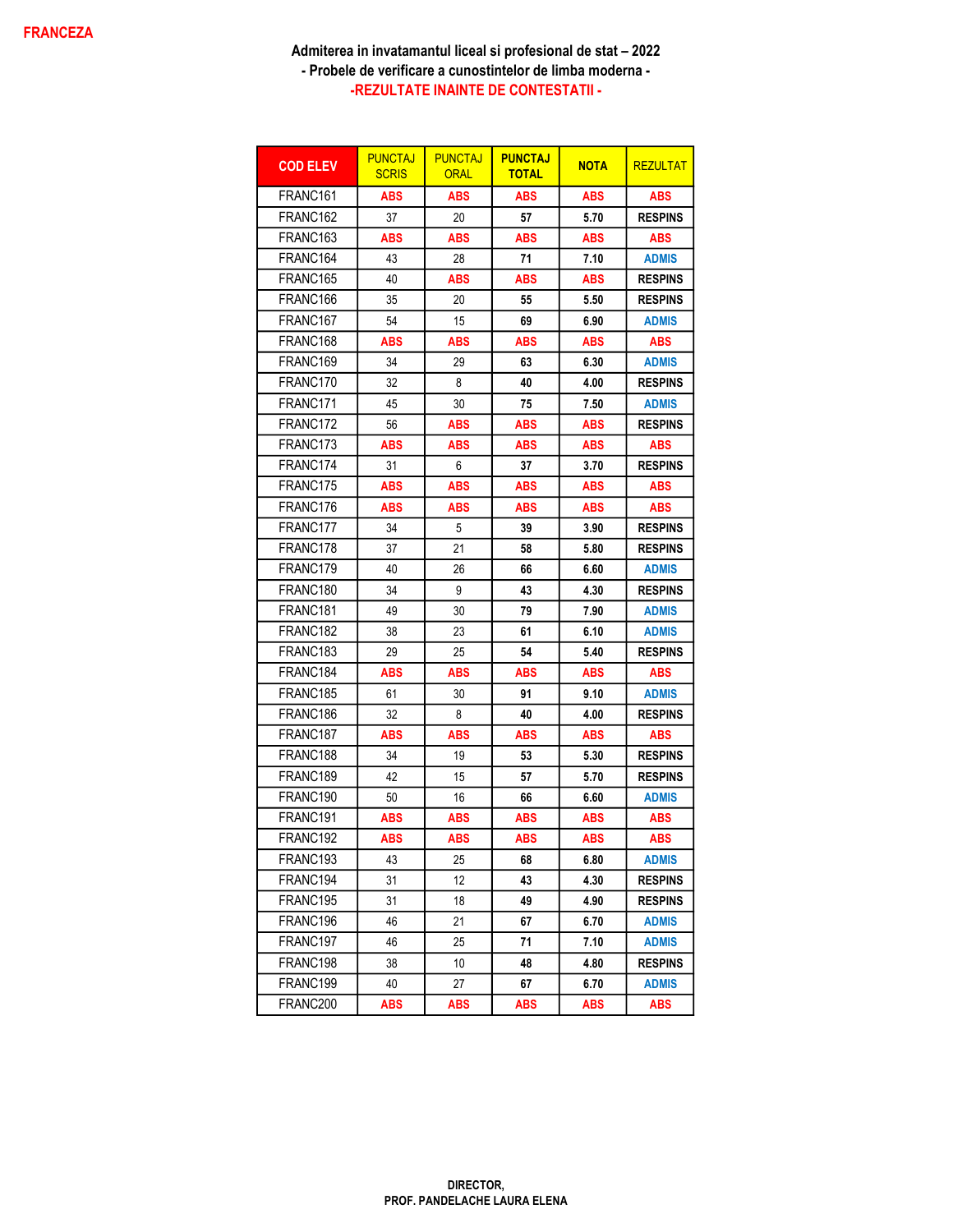| <b>COD ELEV</b>      | <b>PUNCTAJ</b><br><b>SCRIS</b> | <b>PUNCTAJ</b><br><b>ORAL</b> | <b>PUNCTAJ</b><br><b>TOTAL</b> | <b>NOTA</b> | <b>REZULTAT</b> |
|----------------------|--------------------------------|-------------------------------|--------------------------------|-------------|-----------------|
| FRANC161             | <b>ABS</b>                     | <b>ABS</b>                    | ABS                            | <b>ABS</b>  | <b>ABS</b>      |
| FRANC <sub>162</sub> | 37                             | 20                            | 57                             | 5.70        | <b>RESPINS</b>  |
| FRANC163             | <b>ABS</b>                     | ABS                           | ABS                            | ABS         | <b>ABS</b>      |
| FRANC164             | 43                             | 28                            | 71                             | 7.10        | <b>ADMIS</b>    |
| FRANC165             | 40                             | <b>ABS</b>                    | <b>ABS</b>                     | <b>ABS</b>  | <b>RESPINS</b>  |
| FRANC166             | 35                             | 20                            | 55                             | 5.50        | <b>RESPINS</b>  |
| FRANC167             | 54                             | 15                            | 69                             | 6.90        | <b>ADMIS</b>    |
| FRANC168             | <b>ABS</b>                     | ABS                           | ABS                            | ABS         | <b>ABS</b>      |
| FRANC <sub>169</sub> | 34                             | 29                            | 63                             | 6.30        | <b>ADMIS</b>    |
| FRANC <sub>170</sub> | 32                             | 8                             | 40                             | 4.00        | <b>RESPINS</b>  |
| FRANC171             | 45                             | 30                            | 75                             | 7.50        | <b>ADMIS</b>    |
| FRANC172             | 56                             | ABS                           | ABS                            | <b>ABS</b>  | <b>RESPINS</b>  |
| FRANC173             | <b>ABS</b>                     | <b>ABS</b>                    | <b>ABS</b>                     | <b>ABS</b>  | <b>ABS</b>      |
| FRANC174             | 31                             | 6                             | 37                             | 3.70        | <b>RESPINS</b>  |
| FRANC175             | <b>ABS</b>                     | <b>ABS</b>                    | <b>ABS</b>                     | <b>ABS</b>  | <b>ABS</b>      |
| FRANC176             | <b>ABS</b>                     | ABS                           | ABS                            | ABS         | <b>ABS</b>      |
| FRANC177             | 34                             | 5                             | 39                             | 3.90        | <b>RESPINS</b>  |
| FRANC <sub>178</sub> | 37                             | 21                            | 58                             | 5.80        | <b>RESPINS</b>  |
| FRANC179             | 40                             | 26                            | 66                             | 6.60        | <b>ADMIS</b>    |
| FRANC <sub>180</sub> | 34                             | 9                             | 43                             | 4.30        | <b>RESPINS</b>  |
| FRANC <sub>181</sub> | 49                             | 30                            | 79                             | 7.90        | <b>ADMIS</b>    |
| FRANC182             | 38                             | 23                            | 61                             | 6.10        | <b>ADMIS</b>    |
| FRANC <sub>183</sub> | 29                             | 25                            | 54                             | 5.40        | <b>RESPINS</b>  |
| FRANC184             | <b>ABS</b>                     | ABS                           | ABS                            | ABS         | <b>ABS</b>      |
| FRANC185             | 61                             | 30                            | 91                             | 9.10        | <b>ADMIS</b>    |
| FRANC186             | 32                             | 8                             | 40                             | 4.00        | <b>RESPINS</b>  |
| FRANC187             | <b>ABS</b>                     | <b>ABS</b>                    | ABS                            | <b>ABS</b>  | <b>ABS</b>      |
| FRANC188             | 34                             | 19                            | 53                             | 5.30        | <b>RESPINS</b>  |
| FRANC189             | 42                             | 15                            | 57                             | 5.70        | <b>RESPINS</b>  |
| FRANC190             | 50                             | 16                            | 66                             | 6.60        | <b>ADMIS</b>    |
| FRANC191             | <b>ABS</b>                     | <b>ABS</b>                    | <b>ABS</b>                     | ABS         | <b>ABS</b>      |
| FRANC192             | <b>ABS</b>                     | <b>ABS</b>                    | <b>ABS</b>                     | <b>ABS</b>  | <b>ABS</b>      |
| FRANC193             | 43                             | 25                            | 68                             | 6.80        | <b>ADMIS</b>    |
| FRANC194             | 31                             | 12                            | 43                             | 4.30        | <b>RESPINS</b>  |
| FRANC195             | 31                             | 18                            | 49                             | 4.90        | <b>RESPINS</b>  |
| FRANC196             | 46                             | 21                            | 67                             | 6.70        | <b>ADMIS</b>    |
| FRANC197             | 46                             | 25                            | 71                             | 7.10        | <b>ADMIS</b>    |
| FRANC198             | 38                             | 10                            | 48                             | 4.80        | <b>RESPINS</b>  |
| FRANC199             | 40                             | 27                            | 67                             | 6.70        | <b>ADMIS</b>    |
| FRANC200             | <b>ABS</b>                     | <b>ABS</b>                    | <b>ABS</b>                     | <b>ABS</b>  | <b>ABS</b>      |